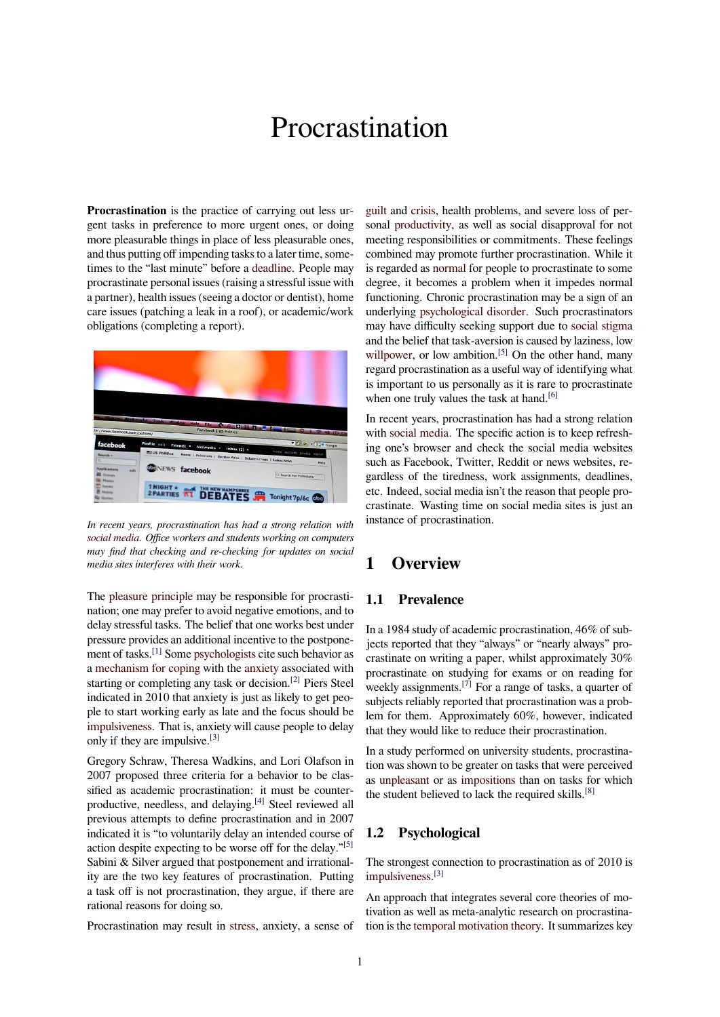# Procrastination

**Procrastination** is the practice of carrying out less urgent tasks in preference to more urgent ones, or doing more pleasurable things in place of less pleasurable ones, and thus putting off impending tasks to a later time, sometimes to the "last minute" before a deadline. People may procrastinate personal issues (raising a stressful issue with a partner), health issues (seeing a doctor or dentist), home care issues (patching a leak in a roof), or academic/work obligations (completing a report).



*In recent years, procrastination has had a strong relation with social media. Office workers and students working on computers may find that checking and re-checking for updates on social media sites interferes with their work.*

The [pleasur](https://en.wikipedia.org/wiki/Social_media)e principle may be responsible for procrastination; one may prefer to avoid negative emotions, and to delay stressful tasks. The belief that one works best under pressure provides an additional incentive to the postponemen[t of tasks.](https://en.wikipedia.org/wiki/Pleasure_principle_(psychology))[1] Some psychologists cite such behavior as a mechanism for coping with the anxiety associated with starting or completing any task or decision.[2] Piers Steel indicated in 2010 that anxiety is just as likely to get people to start w[ork](#page-3-0)ing ea[rly as late and](https://en.wikipedia.org/wiki/Psychologist) the focus should be i[mpulsiveness. That is, a](https://en.wikipedia.org/wiki/Coping_mechanism)nxiety w[ill cause](https://en.wikipedia.org/wiki/Anxiety) people to delay only if they are impulsive.[3]

Gregory Schraw, Theresa Wadkins, and Lori Olafson in 2007 proposed three criteria for a behavior to be clas[sified as acade](https://en.wikipedia.org/wiki/Impulsiveness)mic procrastination: it must be counterproductive, needless, and [de](#page-3-1)laying.[4] Steel reviewed all previous attempts to define procrastination and in 2007 indicated it is "to voluntarily delay an intended course of action despite expecting to be worse off for the delay."<sup>[5]</sup> Sabini & Silver argued that postpo[nem](#page-4-0)ent and irrationality are the two key features of procrastination. Putting a task off is not procrastination, they argue, if there are rational reasons for doing so.

Procrastination may result in stress, anxiety, a sense of

guilt and crisis, health problems, and severe loss of personal productivity, as well as social disapproval for not meeting responsibilities or commitments. These feelings combined may promote further procrastination. While it [is reg](https://en.wikipedia.org/wiki/Guilt_(emotion))ard[ed as](https://en.wikipedia.org/wiki/Crisis) normal for people to procrastinate to some degre[e, it become](https://en.wikipedia.org/wiki/Productivity)s a problem when it impedes normal functioning. Chronic procrastination may be a sign of an underlying psychological disorder. Such procrastinators may have di[fficulty se](https://en.wikipedia.org/wiki/Normality_(behavior))eking support due to social stigma and the belief that task-aversion is caused by laziness, low willpower, or low ambition.<sup>[5]</sup> On the other hand, many regard pro[crastination as a useful w](https://en.wikipedia.org/wiki/Mental_illness)ay of identifying what is important to us personally as it is rare to [procrastinate](https://en.wikipedia.org/wiki/Social_stigma) when one truly values the task at hand.<sup>[6]</sup>

[In recent y](https://en.wikipedia.org/wiki/Self_discipline)ears, procrastina[tion](#page-4-1) has had a strong relation with social media. The specific action is to keep refreshing one's browser and check the social media websites such as Facebook, Twitter, Reddit or [new](#page-4-2)s websites, regardless of the tiredness, work assignments, deadlines, etc. [Indeed, socia](https://en.wikipedia.org/wiki/Social_media)l media isn't the reason that people procrastinate. Wasting time on social media sites is just an instance of procrastination.

# **1 Overview**

#### **1.1 Prevalence**

In a 1984 study of academic procrastination, 46% of subjects reported that they "always" or "nearly always" procrastinate on writing a paper, whilst approximately 30% procrastinate on studying for exams or on reading for weekly assignments.<sup>[7]</sup> For a range of tasks, a quarter of subjects reliably reported that procrastination was a problem for them. Approximately 60%, however, indicated that they would like to reduce their procrastination.

In a study performe[d o](#page-4-3)n university students, procrastination was shown to be greater on tasks that were perceived as unpleasant or as impositions than on tasks for which the student believed to lack the required skills. $[8]$ 

#### **1.[2 Psych](https://en.wikipedia.org/wiki/Unpleasant)olog[ical](https://en.wikipedia.org/wiki/Imposition)**

The strongest connection to procrastination as of 2010 is impulsiveness. [3]

An approach that integrates several core theories of motivation as well as meta-analytic research on procrastina[tion is the](https://en.wikipedia.org/wiki/Impulsiveness) tem[por](#page-3-1)al motivation theory. It summarizes key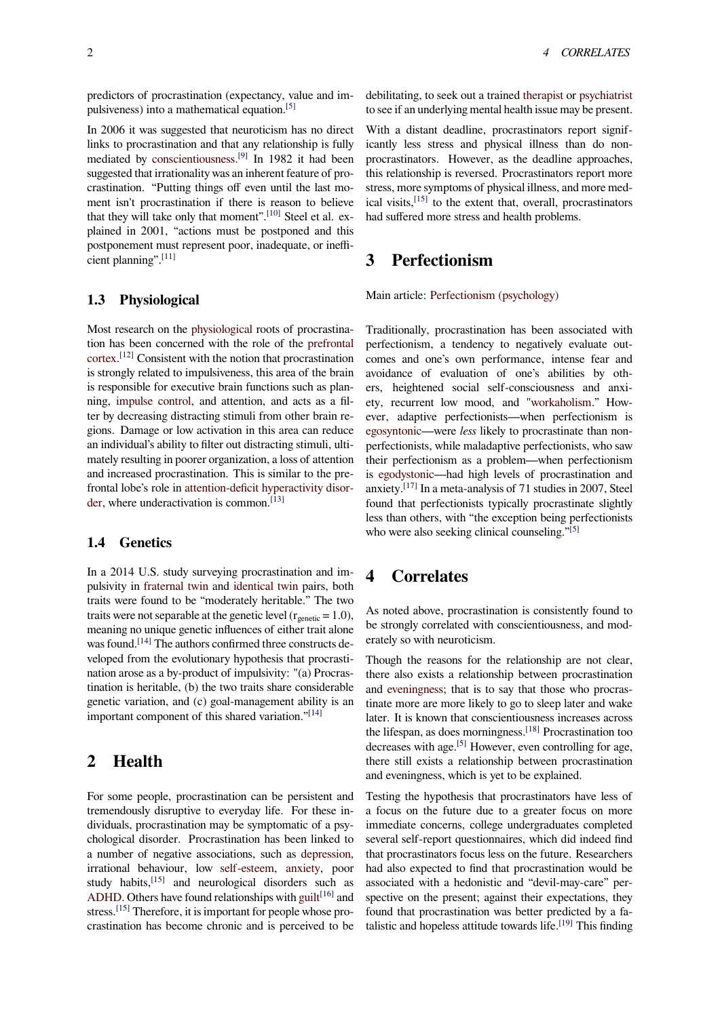predictors of procrastination (expectancy, value and impulsiveness) into a mathematical equation.[5]

In 2006 it was suggested that neuroticism has no direct links to procrastination and that any relationship is fully mediated by conscientiousness.<sup>[9]</sup> In 1982 it had been suggested that irrationality was an inherent [fea](#page-4-1)ture of procrastination. "Putting things off even until the last moment isn't procrastination if there is reason to believe that they will [take only that mo](https://en.wikipedia.org/wiki/Conscientiousness)[me](#page-4-4)nt".[10] Steel et al. explained in 2001, "actions must be postponed and this postponement must represent poor, inadequate, or inefficient planning".[11]

#### **1.3 Physiological**

Most research on the physiological roots of procrastination has been concerned with the role of the prefrontal cortex. [12] Consistent with the notion that procrastination is strongly related to impulsiveness, this area of the brain is responsible for exe[cutive brain fu](https://en.wikipedia.org/wiki/Physiological)nctions such as planning, impulse control, and attention, and act[s as a fil](https://en.wikipedia.org/wiki/Prefrontal_cortex)[ter by](https://en.wikipedia.org/wiki/Prefrontal_cortex) [decr](#page-4-5)easing distracting stimuli from other brain regions. Damage or low activation in this area can reduce an individual's ability to filter out distracting stimuli, ultimatel[y resulting in poo](https://en.wikipedia.org/wiki/Impulse_control)rer organization, a loss of attention and increased procrastination. This is similar to the prefrontal lobe's role in attention-deficit hyperactivity disorder, where underactivation is common.<sup>[13]</sup>

#### **1.4 Genetics**

[In a](https://en.wikipedia.org/wiki/ADHD) 2014 U.S. study surveying procrastination and impulsivity in fraternal twin and identical twin pairs, both traits were found to be "moderately heritable." The two traits were not separable at the genetic level ( $r_{\text{genetic}} = 1.0$ ), meaning no unique genetic influences of either trait alone was found.<sup>[14]</sup> [The authors](https://en.wikipedia.org/wiki/Fraternal_twin) con[firmed three co](https://en.wikipedia.org/wiki/Identical_twin)nstructs developed from the evolutionary hypothesis that procrastination arose as a by-product of impulsivity: "(a) Procrastination is heritable, (b) the two traits share considerable genetic va[riati](#page-4-6)on, and (c) goal-management ability is an important component of this shared variation."<sup>[14]</sup>

## **2 Health**

For some people, procrastination can be persistent and tremendously disruptive to everyday life. For these individuals, procrastination may be symptomatic of a psychological disorder. Procrastination has been linked to a number of negative associations, such as depression, irrational behaviour, low self-esteem, anxiety, poor study habits,[15] and neurological disorders such as ADHD. Others have found relationships with guilt $[16]$  and stress.<sup>[15]</sup> Therefore, it is important for people [whose pro](https://en.wikipedia.org/wiki/Clinical_depression)crastination has become ch[ronic and is](https://en.wikipedia.org/wiki/Self-esteem) [perceived](https://en.wikipedia.org/wiki/Anxiety) to be

debilitating, to seek out a trained therapist or psychiatrist to see if an underlying mental health issue may be present.

With a distant deadline, procrastinators report significantly less stress and physical illness than do nonprocrastinators. However, as t[he deadlin](https://en.wikipedia.org/wiki/Psychotherapy)e [approaches,](https://en.wikipedia.org/wiki/Psychiatry) this relationship is reversed. Procrastinators report more stress, more symptoms of physical illness, and more medical visits,[15] to the extent that, overall, procrastinators had suffered more stress and health problems.

## **3 Pe[rfe](#page-4-7)ctionism**

Main article: Perfectionism (psychology)

Traditionally, procrastination has been associated with perfectionism, a tendency to negatively evaluate outcomes and [one's own performance, in](https://en.wikipedia.org/wiki/Perfectionism_(psychology))tense fear and avoidance of evaluation of one's abilities by others, heightened social self-consciousness and anxiety, recurrent low mood, and "workaholism." However, adaptive perfectionists—when perfectionism is egosyntonic—were *less* likely to procrastinate than nonperfectionists, while maladaptive perfectionists, who saw their perfectionism as a problem[—when perfe](https://en.wikipedia.org/wiki/Workaholic)ctionism is egodystonic—had high levels of procrastination and [anxiety.](https://en.wikipedia.org/wiki/Egosyntonic)[17] In a meta-analysis of 71 studies in 2007, Steel found that perfectionists typically procrastinate slightly less than others, with "the exception being perfectionists w[ho were also](https://en.wikipedia.org/wiki/Egodystonic) seeking clinical counseling."<sup>[5]</sup>

## **4 Correlates**

As noted above, procrastination is consistently found to be strongly correlated with conscientiousness, and moderately so with neuroticism.

Though the reasons for the relationship are not clear, there also exists a relationship between procrastination and eveningness; that is to say that those who procrastinate more are more likely to go to sleep later and wake later. It is known that conscientiousness increases across the lifespan, as does morningness.[18] Procrastination too decr[eases with ag](https://en.wikipedia.org/wiki/Morningness%E2%80%93eveningness_questionnaire)e.[5] However, even controlling for age, there still exists a relationship between procrastination and eveningness, which is yet to be explained.

Testing the hypothesis that procr[asti](#page-4-8)nators have less of a focus on the fut[ure](#page-4-1) due to a greater focus on more immediate concerns, college undergraduates completed several self-report questionnaires, which did indeed find that procrastinators focus less on the future. Researchers had also expected to find that procrastination would be associated with a hedonistic and "devil-may-care" perspective on the present; against their expectations, they found that procrastination was better predicted by a fatalistic and hopeless attitude towards life.<sup>[19]</sup> This finding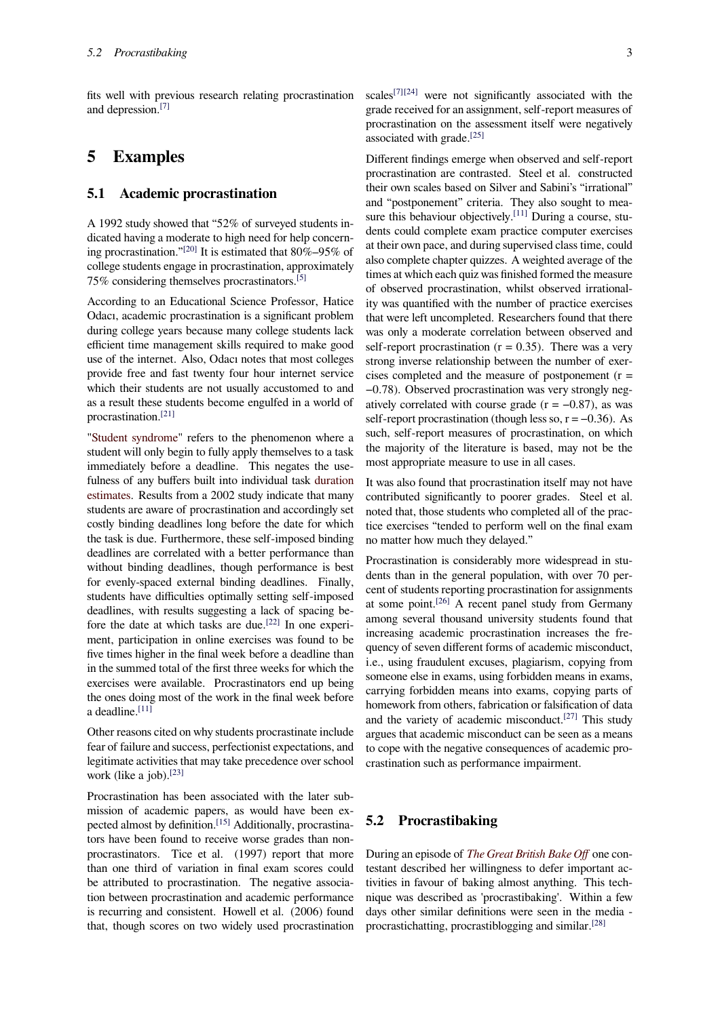fits well with previous research relating procrastination and depression.[7]

# **5 Exam[pl](#page-4-3)es**

#### **5.1 Academic procrastination**

A 1992 study showed that "52% of surveyed students indicated having a moderate to high need for help concerning procrastination."[20] It is estimated that 80%–95% of college students engage in procrastination, approximately 75% considering themselves procrastinators.[5]

According to an Educational Science Professor, Hatice Odacı, academic pr[ocra](#page-4-9)stination is a significant problem during college years because many college students lack efficient time management skills required t[o m](#page-4-1)ake good use of the internet. Also, Odacı notes that most colleges provide free and fast twenty four hour internet service which their students are not usually accustomed to and as a result these students become engulfed in a world of procrastination.[21]

"Student syndrome" refers to the phenomenon where a student will only begin to fully apply themselves to a task immediately before a deadline. This negates the usefulness of any [buff](#page-4-10)ers built into individual task duration [estimates. Results f](https://en.wikipedia.org/wiki/Student_syndrome)rom a 2002 study indicate that many students are aware of procrastination and accordingly set costly binding deadlines long before the date for which the task is due. Furthermore, these self-impose[d binding](https://en.wikipedia.org/wiki/Duration_(project_management)) [deadlines](https://en.wikipedia.org/wiki/Estimation_(project_management)) are correlated with a better performance than without binding deadlines, though performance is best for evenly-spaced external binding deadlines. Finally, students have difficulties optimally setting self-imposed deadlines, with results suggesting a lack of spacing before the date at which tasks are due.[22] In one experiment, participation in online exercises was found to be five times higher in the final week before a deadline than in the summed total of the first three weeks for which the exercises were available. Procrastin[ator](#page-4-11)s end up being the ones doing most of the work in the final week before a deadline.<sup>[11]</sup>

Other reasons cited on why students procrastinate include fear of failure and success, perfectionist expectations, and legitimate [acti](#page-4-12)vities that may take precedence over school work (like a job).<sup>[23]</sup>

Procrastination has been associated with the later submission of academic papers, as would have been expected almost by definition.<sup>[15]</sup> Additionally, procrastinators have been f[ound](#page-4-13) to receive worse grades than nonprocrastinators. Tice et al. (1997) report that more than one third of variation in final exam scores could be attributed to procrastin[atio](#page-4-7)n. The negative association between procrastination and academic performance is recurring and consistent. Howell et al. (2006) found that, though scores on two widely used procrastination scales<sup>[7][24]</sup> were not significantly associated with the grade received for an assignment, self-report measures of procrastination on the assessment itself were negatively associated with grade.[25]

Diffe[ren](#page-4-3)[t fin](#page-4-14)dings emerge when observed and self-report procrastination are contrasted. Steel et al. constructed their own scales based on Silver and Sabini's "irrational" and "postponement" [crite](#page-4-15)ria. They also sought to measure this behaviour objectively.<sup>[11]</sup> During a course, students could complete exam practice computer exercises at their own pace, and during supervised class time, could also complete chapter quizzes. A weighted average of the times at which each quiz was fin[ishe](#page-4-12)d formed the measure of observed procrastination, whilst observed irrationality was quantified with the number of practice exercises that were left uncompleted. Researchers found that there was only a moderate correlation between observed and self-report procrastination  $(r = 0.35)$ . There was a very strong inverse relationship between the number of exercises completed and the measure of postponement  $(r =$ −0.78). Observed procrastination was very strongly negatively correlated with course grade  $(r = -0.87)$ , as was self-report procrastination (though less so,  $r = -0.36$ ). As such, self-report measures of procrastination, on which the majority of the literature is based, may not be the most appropriate measure to use in all cases.

It was also found that procrastination itself may not have contributed significantly to poorer grades. Steel et al. noted that, those students who completed all of the practice exercises "tended to perform well on the final exam no matter how much they delayed."

Procrastination is considerably more widespread in students than in the general population, with over 70 percent of students reporting procrastination for assignments at some point.[26] A recent panel study from Germany among several thousand university students found that increasing academic procrastination increases the frequency of seven different forms of academic misconduct, i.e., using fra[udul](#page-4-16)ent excuses, plagiarism, copying from someone else in exams, using forbidden means in exams, carrying forbidden means into exams, copying parts of homework from others, fabrication or falsification of data and the variety of academic misconduct.<sup>[27]</sup> This study argues that academic misconduct can be seen as a means to cope with the negative consequences of academic procrastination such as performance impairment.

#### **5.2 Procrastibaking**

During an episode of *The Great British Bake Off* one contestant described her willingness to defer important activities in favour of baking almost anything. This technique was described as 'procrastibaking'. Within a few days other similar d[efinitions were seen in the](https://en.wikipedia.org/wiki/The_Great_British_Bake_Off_(series_5)) media procrastichatting, procrastiblogging and similar.[28]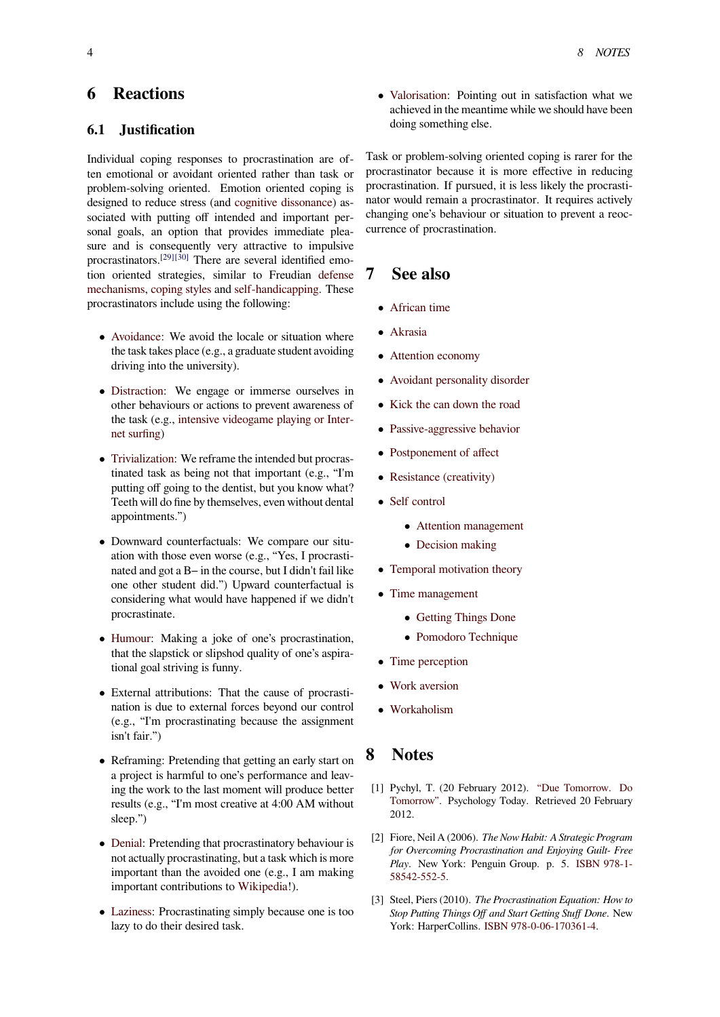# **6 Reactions**

#### **6.1 Justification**

Individual coping responses to procrastination are often emotional or avoidant oriented rather than task or problem-solving oriented. Emotion oriented coping is designed to reduce stress (and cognitive dissonance) associated with putting off intended and important personal goals, an option that provides immediate pleasure and is consequently very attractive to impulsive procrastinators.[29][30] There a[re several identified e](https://en.wikipedia.org/wiki/Cognitive_dissonance)motion oriented strategies, similar to Freudian defense mechanisms, coping styles and self-handicapping. These procrastinators include using the following:

- *•* Avoidance: We avoid the locale or situatio[n where](https://en.wikipedia.org/wiki/Defense_mechanisms) [the task](https://en.wikipedia.org/wiki/Defense_mechanisms) [takes place \(e.](https://en.wikipedia.org/wiki/Coping_(psychology))g.,a [graduate student av](https://en.wikipedia.org/wiki/Self-handicapping)oiding driving into the university).
- *•* [Distraction](https://en.wikipedia.org/wiki/Avoidance_coping): We engage or immerse ourselves in other behaviours or actions to prevent awareness of the task (e.g., intensive videogame playing or Internet surfing)
- *•* [Trivializatio](https://en.wikipedia.org/wiki/Distraction)n: We reframe the intended but procrastinated task a[s being not that important \(e.g., "I](https://en.wikipedia.org/wiki/Cyberslacking)'[m](https://en.wikipedia.org/wiki/Cyberslacking) [putting off](https://en.wikipedia.org/wiki/Cyberslacking) going to the dentist, but you know what? Teeth will do fine by themselves, even without dental [appointments](https://en.wikipedia.org/wiki/Trivialization).")
- *•* Downward counterfactuals: We compare our situation with those even worse (e.g., "Yes, I procrastinated and got a B− in the course, but I didn't fail like one other student did.") Upward counterfactual is considering what would have happened if we didn't procrastinate.
- *•* Humour: Making a joke of one's procrastination, that the slapstick or slipshod quality of one's aspirational goal striving is funny.
- *•* [External](https://en.wikipedia.org/wiki/Humour) attributions: That the cause of procrastination is due to external forces beyond our control (e.g., "I'm procrastinating because the assignment isn't fair.")
- *•* Reframing: Pretending that getting an early start on a project is harmful to one's performance and leaving the work to the last moment will produce better results (e.g., "I'm most creative at 4:00 AM without sleep.")
- *•* Denial: Pretending that procrastinatory behaviour is not actually procrastinating, but a task which is more important than the avoided one (e.g., I am making important contributions to Wikipedia!).
- *•* [Lazine](https://en.wikipedia.org/wiki/Denial)ss: Procrastinating simply because one is too lazy to do their desired task.

*•* Valorisation: Pointing out in satisfaction what we achieved in the meantime while we should have been doing something else.

Task [or problem-](https://en.wikipedia.org/wiki/Valorisation)solving oriented coping is rarer for the procrastinator because it is more effective in reducing procrastination. If pursued, it is less likely the procrastinator would remain a procrastinator. It requires actively changing one's behaviour or situation to prevent a reoccurrence of procrastination.

## **7 See also**

- *•* African time
- *•* Akrasia
- *•* [Attention eco](https://en.wikipedia.org/wiki/African_time)nomy
- *•* [Avoidan](https://en.wikipedia.org/wiki/Akrasia)t personality disorder
- *•* [Kick the can down](https://en.wikipedia.org/wiki/Attention_economy) the road
- [Passive-aggressive behavior](https://en.wikipedia.org/wiki/Avoidant_personality_disorder)
- *•* [Postponement of affect](https://en.wikipedia.org/wiki/Kick_the_can_down_the_road)
- *•* [Resistance \(creativity\)](https://en.wikipedia.org/wiki/Passive-aggressive_behavior)
- *•* [Self control](https://en.wikipedia.org/wiki/Postponement_of_affect)
	- *•* Attention management
	- *•* [Decision making](https://en.wikipedia.org/wiki/Resistance_(creativity))
- [Temporal m](https://en.wikipedia.org/wiki/Self_control)otivation theory
- *•* Time [management](https://en.wikipedia.org/wiki/Attention_management)
	- *•* Getting Things Done
	- *•* [Pomodoro Technique](https://en.wikipedia.org/wiki/Temporal_motivation_theory)
- *•* [Time perception](https://en.wikipedia.org/wiki/Time_management)
- *•* Wor[k aversion](https://en.wikipedia.org/wiki/Getting_Things_Done)
- *•* [Workaholism](https://en.wikipedia.org/wiki/Time_perception)

## **8 [Notes](https://en.wikipedia.org/wiki/Work_aversion)**

- [1] Pychyl, T. (20 February 2012). "Due Tomorrow. Do Tomorrow". Psychology Today. Retrieved 20 February 2012.
- <span id="page-3-0"></span>[2] Fiore, Neil A (2006). *The Now Habit: A Strategic Program for Overcoming Procrastination a[nd Enjoying Guilt- Free](http://www.psychologytoday.com/blog/dont-delay/201202/due-tomorrow-do-tomorrow) Play*[. New](http://www.psychologytoday.com/blog/dont-delay/201202/due-tomorrow-do-tomorrow) York: Penguin Group. p. 5. ISBN 978-1- 58542-552-5.
- <span id="page-3-1"></span>[3] Steel, Piers (2010). *The Procrastination Equation: How to Stop Putting Things Off and Start Getting Stuff Done*[. New](https://en.wikipedia.org/wiki/Special:BookSources/978-1-58542-552-5) [York: Harper](https://en.wikipedia.org/wiki/Special:BookSources/978-1-58542-552-5)Collins. ISBN 978-0-06-170[361-4.](https://en.wikipedia.org/wiki/International_Standard_Book_Number)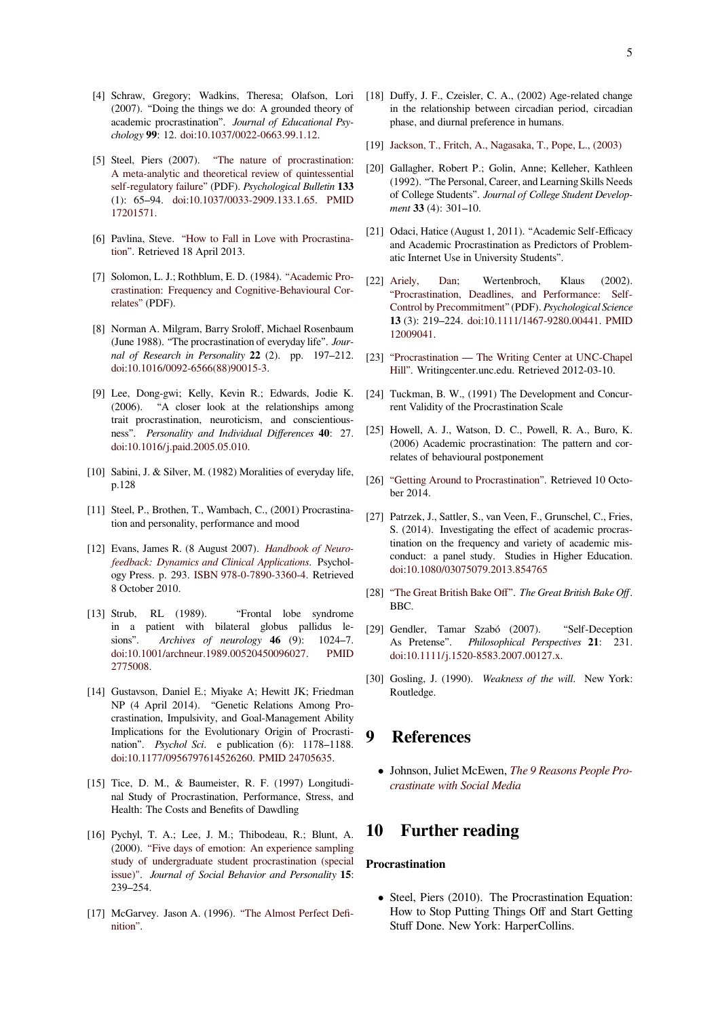- [4] Schraw, Gregory; Wadkins, Theresa; Olafson, Lori (2007). "Doing the things we do: A grounded theory of academic procrastination". *Journal of Educational Psychology* **99**: 12. doi:10.1037/0022-0663.99.1.12.
- <span id="page-4-0"></span>[5] Steel, Piers (2007). "The nature of procrastination: A meta-analytic and theoretical review of quintessential self-regulatory failure" (PDF). *Psychological Bulletin* **133** (1): 65–94. d[oi:1](https://en.wikipedia.org/wiki/Digital_object_identifier)[0.1037/0033-2909.133.1.65.](https://dx.doi.org/10.1037%252F0022-0663.99.1.12) PMID 17201571.
- <span id="page-4-1"></span>[6] Pavlina, Steve. ["How to Fall in Love with Procrastina](http://studiemetro.au.dk/fileadmin/www.studiemetro.au.dk/Procrastination_2.pdf)[tion". Retrieved 18 Ap](http://studiemetro.au.dk/fileadmin/www.studiemetro.au.dk/Procrastination_2.pdf)[ril 2013.](https://dx.doi.org/10.1037%252F0033-2909.133.1.65)
- [7] [Solomon, L](https://www.ncbi.nlm.nih.gov/pubmed/17201571). J.; Rothblum, E. D. (1984). "Academic Procrastination: Fr[equency and Cognitive-Behavioural Cor](http://www.stevepavlina.com/blog/2010/06/how-to-fall-in-love-with-procrastination/)[relate](http://www.stevepavlina.com/blog/2010/06/how-to-fall-in-love-with-procrastination/)s" (PDF).
- <span id="page-4-3"></span><span id="page-4-2"></span>[8] Norman A. Milgram, Barry Sroloff, Michael Rosenbaum (June 1988). "The procrastination of eve[ryday life".](http://www-rohan.sdsu.edu/~rothblum/doc_pdf/procrastination/AcademicProcrastinationFrequency.pdf) *Jour[nal of Research in Personality](http://www-rohan.sdsu.edu/~rothblum/doc_pdf/procrastination/AcademicProcrastinationFrequency.pdf)* **22** (2). pp. 197–212. [doi:10.1](http://www-rohan.sdsu.edu/~rothblum/doc_pdf/procrastination/AcademicProcrastinationFrequency.pdf)016/0092-6566(88)90015-3.
- [9] Lee, Dong-gwi; Kelly, Kevin R.; Edwards, Jodie K. (2006). "A closer look at the relationships among trait procrastination, neuroticism, and conscientious[nes](https://en.wikipedia.org/wiki/Digital_object_identifier)s". *[Personality and Individual D](https://dx.doi.org/10.1016%252F0092-6566%252888%252990015-3)ifferences* **40**: 27. doi:10.1016/j.paid.2005.05.010.
- <span id="page-4-4"></span>[10] Sabini, J. & Silver, M. (1982) Moralities of everyday life, p.128
- [11] [Ste](https://en.wikipedia.org/wiki/Digital_object_identifier)[el, P., Brothen, T., Wambach](https://dx.doi.org/10.1016%252Fj.paid.2005.05.010), C., (2001) Procrastination and personality, performance and mood
- <span id="page-4-12"></span>[12] Evans, James R. (8 August 2007). *Handbook of Neurofeedback: Dynamics and Clinical Applications*. Psychology Press. p. 293. ISBN 978-0-7890-3360-4. Retrieved 8 October 2010.
- <span id="page-4-5"></span>[13] Strub, RL (1989). "Front[al lobe syndrome](http://books.google.com/books?id=20oUOtjs9DkC&pg=PA293) [in a patient with bilateral globus pal](http://books.google.com/books?id=20oUOtjs9DkC&pg=PA293)lidus lesions". *Archive[s of](https://en.wikipedia.org/wiki/International_Standard_Book_Number) neurology* **46** (9): 1024–7. doi:10.1001/archneur.1989.00520450096027. PMID 2775008.
- [14] Gustavson, Daniel E.; Miyake A; Hewitt JK; Friedman NP (4 April 2014). "Genetic Relations Among Pro[cra](https://en.wikipedia.org/wiki/Digital_object_identifier)[stination, Impulsivity, and Goal-Managem](https://dx.doi.org/10.1001%252Farchneur.1989.00520450096027)ent [Ability](https://en.wikipedia.org/wiki/PubMed_Identifier) [Implicati](https://www.ncbi.nlm.nih.gov/pubmed/2775008)ons for the Evolutionary Origin of Procrastination". *Psychol Sci*. e publication (6): 1178–1188. doi:10.1177/0956797614526260. PMID 24705635.
- <span id="page-4-6"></span>[15] Tice, D. M., & Baumeister, R. F. (1997) Longitudinal Study of Procrastination, Performance, Stress, and [He](https://en.wikipedia.org/wiki/Digital_object_identifier)[alth: The Costs and Benefits of](https://dx.doi.org/10.1177%252F0956797614526260) [Dawdli](https://en.wikipedia.org/wiki/PubMed_Identifier)[ng](https://www.ncbi.nlm.nih.gov/pubmed/24705635)
- <span id="page-4-7"></span>[16] Pychyl, T. A.; Lee, J. M.; Thibodeau, R.; Blunt, A. (2000). "Five days of emotion: An experience sampling study of undergraduate student procrastination (special issue)". *Journal of Social Behavior and Personality* **15**: 239–254.
- [17] [McGarvey. Jason A. \(1996\).](http://psycnet.apa.org/index.cfm?fa=search.displayRecord&uid=2002-10572-019) ["The Almost Perfect Defi](http://psycnet.apa.org/index.cfm?fa=search.displayRecord&uid=2002-10572-019)[nition".](http://psycnet.apa.org/index.cfm?fa=search.displayRecord&uid=2002-10572-019)
- [18] Duffy, J. F., Czeisler, C. A., (2002) Age-related change in the relationship between circadian period, circadian phase, and diurnal preference in humans.
- [19] Jackson, T., Fritch, A., Nagasaka, T., Pope, L., (2003)
- <span id="page-4-8"></span>[20] Gallagher, Robert P.; Golin, Anne; Kelleher, Kathleen (1992). "The Personal, Career, and Learning Skills Needs of College Students". *Journal of College Student Development* **33** [\(4\): 301–10.](http://psycnet.apa.org/index.cfm?fa=search.displayRecord&uid=2004-15383-003)
- <span id="page-4-9"></span>[21] Odaci, Hatice (August 1, 2011). "Academic Self-Efficacy and Academic Procrastination as Predictors of Problematic Internet Use in University Students".
- <span id="page-4-10"></span>[22] Ariely, Dan; Wertenbroch, Klaus (2002). "Procrastination, Deadlines, and Performance: Self-Control by Precommitment" (PDF). *Psychological Science* **13** (3): 219–224. doi:10.1111/1467-9280.00441. PMID [12009041.](https://en.wikipedia.org/wiki/Dan_Ariely)
- <span id="page-4-11"></span>[23] ["Procrastination — The Writing Center at UNC-Chapel](http://web.mit.edu/ariely/www/MIT/Papers/deadlines.pdf) [Hill". Writingcenter.unc.edu](http://web.mit.edu/ariely/www/MIT/Papers/deadlines.pdf)[. Retrieved 2012-03-](https://dx.doi.org/10.1111%252F1467-9280.00441)[10.](https://en.wikipedia.org/wiki/PubMed_Identifier)
- [24] [Tuckman,](https://www.ncbi.nlm.nih.gov/pubmed/12009041) B. W., (1991) The Development and Concur[rent Validity of the Procrastination Scale](http://writingcenter.unc.edu/resources/handouts-demos/writing-the-paper/procrastination)
- <span id="page-4-13"></span>[25] [Howe](http://writingcenter.unc.edu/resources/handouts-demos/writing-the-paper/procrastination)ll, A. J., Watson, D. C., Powell, R. A., Buro, K. (2006) Academic procrastination: The pattern and correlates of behavioural postponement
- <span id="page-4-14"></span>[26] "Getting Around to Procrastination". Retrieved 10 October 2014.
- <span id="page-4-16"></span><span id="page-4-15"></span>[27] Patrzek, J., Sattler, S., van Veen, F., Grunschel, C., Fries, S. (2014). Investigating the effect of academic procras[tination on the frequency and variet](http://www.psychologytoday.com/blog/media-spotlight/201307/getting-around-procrastination)y of academic misconduct: a panel study. Studies in Higher Education. doi:10.1080/03075079.2013.854765
- [28] "The Great British Bake Off". *The Great British Bake Off*. BBC.
- [29] [Ge](https://en.wikipedia.org/wiki/Digital_object_identifier)[ndler, Tamar Szabó \(2007\).](https://dx.doi.org/10.1080%252F03075079.2013.854765) "Self-Deception As Pretense". *Philosophical Perspectives* **21**: 231. [doi:10.1111/j.1520-8583.200](http://thegreatbritishbakeoff.co.uk/)7.00127.x.
- [30] Gosling, J. (1990). *Weakness of the will*. New York: Routledge.

## **9 References**

*•* Johnson, Juliet McEwen, *The 9 Reasons People Procrastinate with Social Media*

## **10 [Further reading](http://www.nasp.com/article/E1698E92-0CBD/the-9-reasons-people-procrastinate-with-social-media.html)**

#### **Procrastination**

*•* Steel, Piers (2010). The Procrastination Equation: How to Stop Putting Things Off and Start Getting Stuff Done. New York: HarperCollins.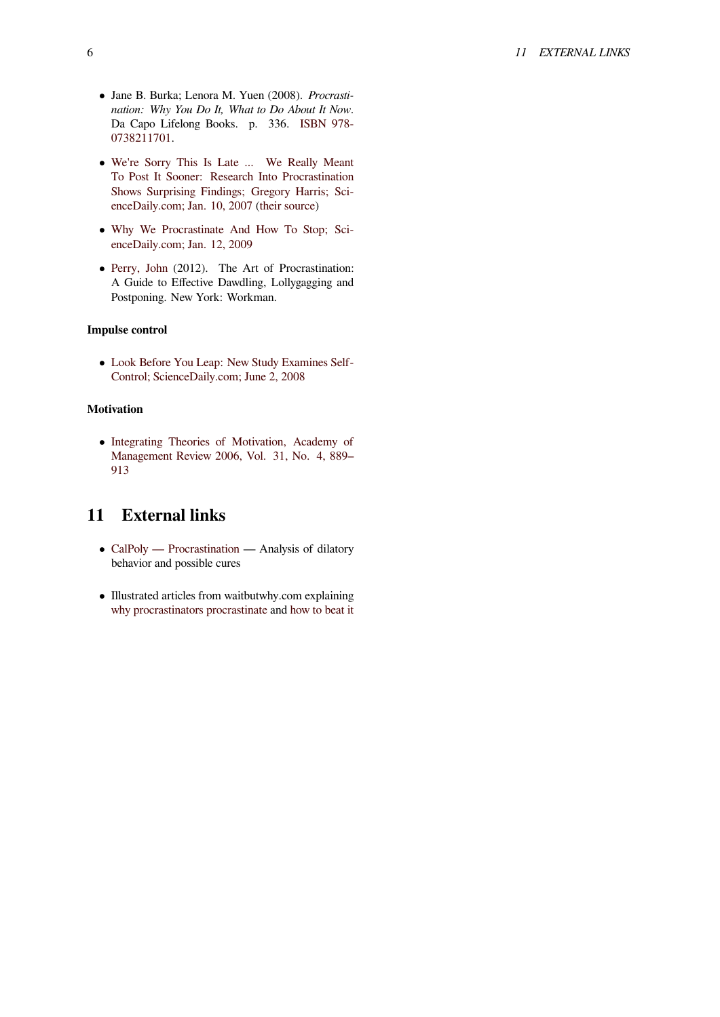- *•* Jane B. Burka; Lenora M. Yuen (2008). *Procrastination: Why You Do It, What to Do About It Now*. Da Capo Lifelong Books. p. 336. ISBN 978- 0738211701.
- *•* We're Sorry This Is Late ... We Really Meant To Post It Sooner: Research Into Pro[crastin](https://en.wikipedia.org/wiki/International_Standard_Book_Number)[ation](https://en.wikipedia.org/wiki/Special:BookSources/978-0738211701) [Shows Surpr](https://en.wikipedia.org/wiki/Special:BookSources/978-0738211701)ising Findings; Gregory Harris; ScienceDaily.com; Jan. 10, 2007 (their source)
- *•* [Why We Procrastinate And How To Stop; Sci](http://www.sciencedaily.com/releases/2007/01/070110090851.htm)[enceDaily.com; Jan. 12, 2009](http://www.sciencedaily.com/releases/2007/01/070110090851.htm)
- *•* Perry, John [\(2012\). The Ar](http://www.sciencedaily.com/releases/2007/01/070110090851.htm)t [of Procrast](http://www.eurekalert.org/pub_releases/2007-01/uoc-wst010907.php)ination: [A Guide to Effective Dawdling, Lollygagging and](http://www.sciencedaily.com/releases/2009/01/090112110106.htm) [Postponing. New York: Work](http://www.sciencedaily.com/releases/2009/01/090112110106.htm)man.

#### **Imp[ulse control](https://en.wikipedia.org/wiki/John_Perry_(philosopher))**

*•* Look Before You Leap: New Study Examines Self-Control; ScienceDaily.com; June 2, 2008

#### **Mot[ivation](http://www.sciencedaily.com/releases/2008/05/080530132101.htm)**

*•* [Integrating Theories of Motivation, Ac](http://www.sciencedaily.com/releases/2008/05/080530132101.htm)ademy of Management Review 2006, Vol. 31, No. 4, 889– 913

# **11 [External links](http://webapps2.ucalgary.ca/~steel/images/Integrating.pdf)**

- CalPoly Procrastination Analysis of dilatory behavior and possible cures
- *•* Illustrated articles from waitbutwhy.com explaining [why procrastinators procras](http://www.sas.calpoly.edu/asc/ssl/procrastination.html)tinate and how to beat it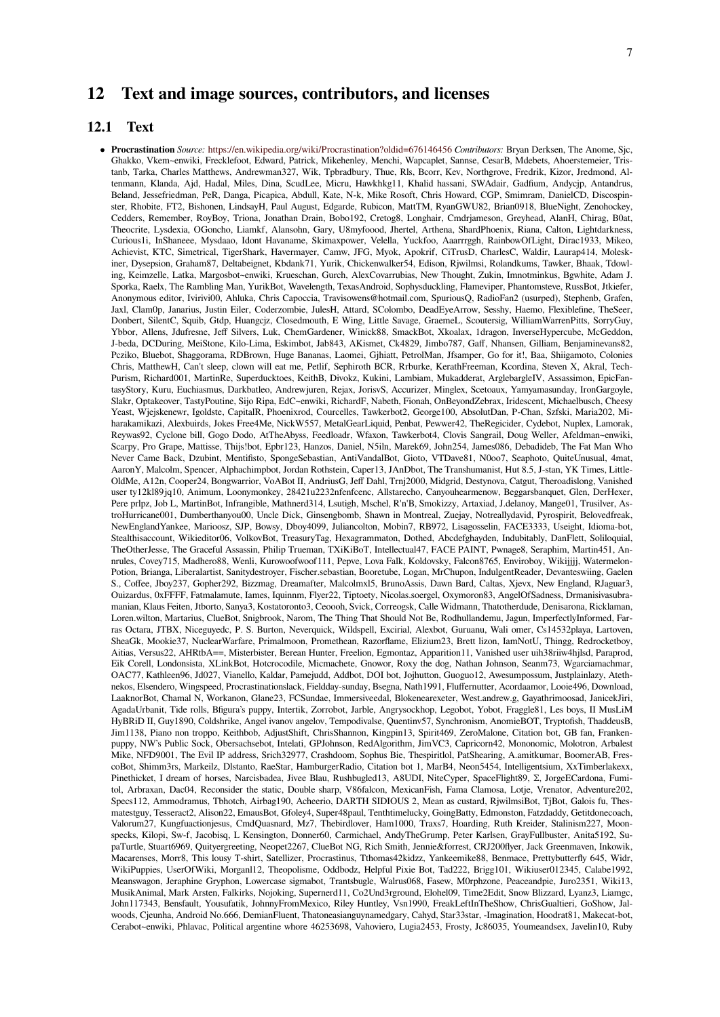# **12 Text and image sources, contributors, and licenses**

#### **12.1 Text**

*•* **Procrastination** *Source:* https://en.wikipedia.org/wiki/Procrastination?oldid=676146456 *Contributors:* Bryan Derksen, The Anome, Sjc, Ghakko, Vkem~enwiki, Frecklefoot, Edward, Patrick, Mikehenley, Menchi, Wapcaplet, Sannse, CesarB, Mdebets, Ahoerstemeier, Tristanb, Tarka, Charles Matthews, Andrewman327, Wik, Tpbradbury, Thue, Rls, Bcorr, Kev, Northgrove, Fredrik, Kizor, Jredmond, Altenmann, Klanda, Ajd, Hadal, Miles, Dina, ScudLee, Micru, Hawkhkg11, Khalid hassani, SWAdair, Gadfium, Andycjp, Antandrus, Beland, Jessefriedman, PeR, Danga, Picapica, Abdull, Kate, N-k, Mike Rosoft, Chris Howard, CGP, Smimram, DanielCD, Discospinster, Rhobite, FT2, Bish[onen, LindsayH, Paul August, Edgarde, Rubicon, MattTM, Ryan](https://en.wikipedia.org/wiki/Procrastination?oldid=676146456)GWU82, Brian0918, BlueNight, Zenohockey, Cedders, Remember, RoyBoy, Triona, Jonathan Drain, Bobo192, Cretog8, Longhair, Cmdrjameson, Greyhead, AlanH, Chirag, B0at, Theocrite, Lysdexia, OGoncho, Liamkf, Alansohn, Gary, U8myfoood, Jhertel, Arthena, ShardPhoenix, Riana, Calton, Lightdarkness, Curious1i, InShaneee, Mysdaao, Idont Havaname, Skimaxpower, Velella, Yuckfoo, Aaarrrggh, RainbowOfLight, Dirac1933, Mikeo, Achievist, KTC, Simetrical, TigerShark, Havermayer, Camw, JFG, Myok, Apokrif, CiTrusD, CharlesC, Waldir, Laurap414, Moleskiner, Dysepsion, Graham87, Deltabeignet, Kbdank71, Yurik, Chickenwalker54, Edison, Rjwilmsi, Rolandkums, Tawker, Bhaak, Tdowling, Keimzelle, Latka, Margosbot~enwiki, Krueschan, Gurch, AlexCovarrubias, New Thought, Zukin, Imnotminkus, Bgwhite, Adam J. Sporka, Raelx, The Rambling Man, YurikBot, Wavelength, TexasAndroid, Sophysduckling, Flameviper, Phantomsteve, RussBot, Jtkiefer, Anonymous editor, Ivirivi00, Ahluka, Chris Capoccia, Travisowens@hotmail.com, SpuriousQ, RadioFan2 (usurped), Stephenb, Grafen, Jaxl, Clam0p, Janarius, Justin Eiler, Coderzombie, JulesH, Attard, SColombo, DeadEyeArrow, Sesshy, Haemo, Flexiblefine, TheSeer, Donbert, SilentC, Squib, Gtdp, Huangcjz, Closedmouth, E Wing, Little Savage, GraemeL, Scoutersig, WilliamWarrenPitts, SorryGuy, Ybbor, Allens, Jdufresne, Jeff Silvers, Luk, ChemGardener, Winick88, SmackBot, Xkoalax, 1dragon, InverseHypercube, McGeddon, J-beda, DCDuring, MeiStone, Kilo-Lima, Eskimbot, Jab843, AKismet, Ck4829, Jimbo787, Gaff, Nhansen, Gilliam, Benjaminevans82, Pcziko, Bluebot, Shaggorama, RDBrown, Huge Bananas, Laomei, Gjhiatt, PetrolMan, Jfsamper, Go for it!, Baa, Shiigamoto, Colonies Chris, MatthewH, Can't sleep, clown will eat me, Petlif, Sephiroth BCR, Rrburke, KerathFreeman, Kcordina, Steven X, Akral, Tech-Purism, Richard001, MartinRe, Superducktoes, KeithB, Divokz, Kukini, Lambiam, Mukadderat, ArglebargleIV, Assassimon, EpicFantasyStory, Kuru, Euchiasmus, Darkbatleo, Andrewjuren, Rejax, JorisvS, Accurizer, Minglex, Scetoaux, Yamyamasunday, IronGargoyle, Slakr, Optakeover, TastyPoutine, Sijo Ripa, EdC~enwiki, RichardF, Nabeth, Fionah, OnBeyondZebrax, Iridescent, Michaelbusch, Cheesy Yeast, Wjejskenewr, Igoldste, CapitalR, Phoenixrod, Courcelles, Tawkerbot2, George100, AbsolutDan, P-Chan, Szfski, Maria202, Miharakamikazi, Alexbuirds, Jokes Free4Me, NickW557, MetalGearLiquid, Penbat, Pewwer42, TheRegicider, Cydebot, Nuplex, Lamorak, Reywas92, Cyclone bill, Gogo Dodo, AtTheAbyss, Feedloadr, Wfaxon, Tawkerbot4, Clovis Sangrail, Doug Weller, Afeldman~enwiki, Scarpy, Pro Grape, Mattisse, Thijs!bot, Epbr123, Hanzos, Daniel, N5iln, Marek69, John254, James086, Debadideb, The Fat Man Who Never Came Back, Dzubint, Mentifisto, SpongeSebastian, AntiVandalBot, Gioto, VTDave81, N0oo7, Seaphoto, QuiteUnusual, 4mat, AaronY, Malcolm, Spencer, Alphachimpbot, Jordan Rothstein, Caper13, JAnDbot, The Transhumanist, Hut 8.5, J-stan, YK Times, Little-OldMe, A12n, Cooper24, Bongwarrior, VoABot II, AndriusG, Jeff Dahl, Trnj2000, Midgrid, Destynova, Catgut, Theroadislong, Vanished user ty12kl89jq10, Animum, Loonymonkey, 28421u2232nfenfcenc, Allstarecho, Canyouhearmenow, Beggarsbanquet, Glen, DerHexer, Pere prlpz, Job L, MartinBot, Infrangible, Mathnerd314, Lsutigh, Mschel, R'n'B, Smokizzy, Artaxiad, J.delanoy, Mange01, Trusilver, AstroHurricane001, Dumberthanyou00, Uncle Dick, Ginsengbomb, Shawn in Montreal, Zuejay, Notreallydavid, Pyrospirit, Belovedfreak, NewEnglandYankee, Marioosz, SJP, Bowsy, Dboy4099, Juliancolton, Mobin7, RB972, Lisagosselin, FACE3333, Useight, Idioma-bot, Stealthisaccount, Wikieditor06, VolkovBot, TreasuryTag, Hexagrammaton, Dothed, Abcdefghayden, Indubitably, DanFlett, Soliloquial, TheOtherJesse, The Graceful Assassin, Philip Trueman, TXiKiBoT, Intellectual47, FACE PAINT, Pwnage8, Seraphim, Martin451, Annrules, Covey715, Madhero88, Wenli, Kurowoofwoof111, Pepve, Lova Falk, Koldovsky, Falcon8765, Enviroboy, Wikijjjj, Watermelon-Potion, Brianga, Liberalartist, Sanitydestroyer, Fischer.sebastian, Booretube, Logan, MrChupon, IndulgentReader, Devanteswiing, Gaelen S., Coffee, Jboy237, Gopher292, Bizzmag, Dreamafter, Malcolmxl5, BrunoAssis, Dawn Bard, Caltas, Xjevx, New England, RJaguar3, Ouizardus, 0xFFFF, Fatmalamute, Iames, Iquinnm, Flyer22, Tiptoety, Nicolas.soergel, Oxymoron83, AngelOfSadness, Drmanisivasubramanian, Klaus Feiten, Jtborto, Sanya3, Kostatoronto3, Ceoooh, Svick, Correogsk, Calle Widmann, Thatotherdude, Denisarona, Ricklaman, Loren.wilton, Martarius, ClueBot, Snigbrook, Narom, The Thing That Should Not Be, Rodhullandemu, Jagun, ImperfectlyInformed, Farras Octara, JTBX, Niceguyedc, P. S. Burton, Neverquick, Wildspell, Excirial, Alexbot, Guruanu, Wali omer, Cs14532playa, Lartoven, SheaGk, Mookie37, NuclearWarfare, Primalmoon, Promethean, Razorflame, Elizium23, Brett lizon, IamNotU, Thingg, Redrocketboy, Aitias, Versus22, AHRtbA==, Misterbister, Berean Hunter, Freelion, Egmontaz, Apparition11, Vanished user uih38riiw4hjlsd, Paraprod, Eik Corell, Londonsista, XLinkBot, Hotcrocodile, Micmachete, Gnowor, Roxy the dog, Nathan Johnson, Seanm73, Wgarciamachmar, OAC77, Kathleen96, Jd027, Vianello, Kaldar, Pamejudd, Addbot, DOI bot, Jojhutton, Guoguo12, Awesumpossum, Justplainlazy, Atethnekos, Elsendero, Wingspeed, Procrastinationslack, Fieldday-sunday, Bsegna, Nath1991, Fluffernutter, Acordaamor, Looie496, Download, LaaknorBot, Chamal N, Workanon, Glane23, FCSundae, Immersiveedal, Blokenearexeter, West.andrew.g, Gayathrimoosad, JanicekJiri, AgadaUrbanit, Tide rolls, Bfigura's puppy, Intertik, Zorrobot, Jarble, Angrysockhop, Legobot, Yobot, Fraggle81, Les boys, II MusLiM HyBRiD II, Guy1890, Coldshrike, Angel ivanov angelov, Tempodivalse, Quentinv57, Synchronism, AnomieBOT, Tryptofish, ThaddeusB, Jim1138, Piano non troppo, Keithbob, AdjustShift, ChrisShannon, Kingpin13, Spirit469, ZeroMalone, Citation bot, GB fan, Frankenpuppy, NW's Public Sock, Obersachsebot, Intelati, GPJohnson, RedAlgorithm, JimVC3, Capricorn42, Mononomic, Molotron, Arbalest Mike, NFD9001, The Evil IP address, Srich32977, Crashdoom, Sophus Bie, Thespiritlol, PatShearing, A.amitkumar, BoomerAB, FrescoBot, Shimm3rs, Markeilz, Dlstanto, RaeStar, HamburgerRadio, Citation bot 1, MarB4, Neon5454, Intelligentsium, XxTimberlakexx, Pinethicket, I dream of horses, Narcisbadea, Jivee Blau, Rushbugled13, A8UDI, NiteCyper, SpaceFlight89, Σ, JorgeECardona, Fumitol, Arbraxan, Dac04, Reconsider the static, Double sharp, V86falcon, MexicanFish, Fama Clamosa, Lotje, Vrenator, Adventure202, Specs112, Ammodramus, Tbhotch, Airbag190, Acheerio, DARTH SIDIOUS 2, Mean as custard, RjwilmsiBot, TjBot, Galois fu, Thesmatestguy, Tesseract2, Alison22, EmausBot, Gfoley4, Super48paul, Tenthtimelucky, GoingBatty, Edmonston, Fatzdaddy, Getitdonecoach, Valorum27, Kungfuactionjesus, CmdQuasnard, Mz7, Thebirdlover, Ham1000, Traxs7, Hoarding, Ruth Kreider, Stalinism227, Moonspecks, Kilopi, Sw-f, Jacobisq, L Kensington, Donner60, Carmichael, AndyTheGrump, Peter Karlsen, GrayFullbuster, Anita5192, SupaTurtle, Stuart6969, Quityergreeting, Neopet2267, ClueBot NG, Rich Smith, Jennie&forrest, CRJ200flyer, Jack Greenmaven, Inkowik, Macarenses, Morr8, This lousy T-shirt, Satellizer, Procrastinus, Tthomas42kidzz, Yankeemike88, Benmace, Prettybutterfly 645, Widr, WikiPuppies, UserOfWiki, Morganl12, Theopolisme, Oddbodz, Helpful Pixie Bot, Tad222, Brigg101, Wikiuser012345, Calabe1992, Meanswagon, Jeraphine Gryphon, Lowercase sigmabot, Trantsbugle, Walrus068, Fasew, M0rphzone, Peaceandpie, Juro2351, Wiki13, MusikAnimal, Mark Arsten, Falkirks, Nojoking, Supernerd11, Co2Und3rground, Elohel09, Time2Edit, Snow Blizzard, Lyanz3, Liamgc, John117343, Bensfault, Yousufatik, JohnnyFromMexico, Riley Huntley, Vsn1990, FreakLeftInTheShow, ChrisGualtieri, GoShow, Jalwoods, Cjeunha, Android No.666, DemianFluent, Thatoneasianguynamedgary, Cahyd, Star33star, -Imagination, Hoodrat81, Makecat-bot, Cerabot~enwiki, Phlavac, Political argentine whore 46253698, Vahoviero, Lugia2453, Frosty, Jc86035, Youmeandsex, Javelin10, Ruby